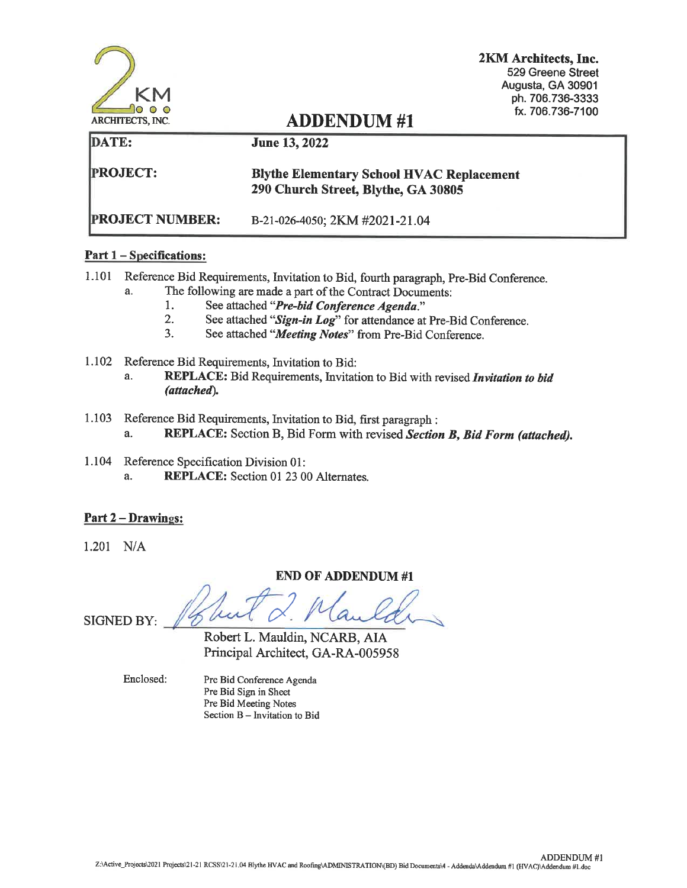|                         |                                                                                         | 2KM Architects, Inc.<br>529 Greene Street<br>Augusta, GA 30901<br>ph. 706.736-3333 |
|-------------------------|-----------------------------------------------------------------------------------------|------------------------------------------------------------------------------------|
| <b>ARCHITECTS, INC.</b> | <b>ADDENDUM#1</b>                                                                       | fx. 706.736-7100                                                                   |
| DATE:                   | <b>June 13, 2022</b>                                                                    |                                                                                    |
| <b>PROJECT:</b>         | <b>Blythe Elementary School HVAC Replacement</b><br>290 Church Street, Blythe, GA 30805 |                                                                                    |
| <b>PROJECT NUMBER:</b>  | B-21-026-4050; 2KM #2021-21.04                                                          |                                                                                    |

# **Part 1 - Specifications:**

- 1.101 Reference Bid Requirements, Invitation to Bid, fourth paragraph, Pre-Bid Conference. The following are made a part of the Contract Documents:  $a<sub>1</sub>$ 
	-
	- 1. See attached "Pre-bid Conference Agenda."
	- 2. See attached "Sign-in Log" for attendance at Pre-Bid Conference.
	- 3. See attached "Meeting Notes" from Pre-Bid Conference.
- 1.102 Reference Bid Requirements, Invitation to Bid:
	- REPLACE: Bid Requirements, Invitation to Bid with revised Invitation to bid a. (attached).
- 1.103 Reference Bid Requirements, Invitation to Bid, first paragraph : a. REPLACE: Section B, Bid Form with revised Section B, Bid Form (attached).
- 1.104 Reference Specification Division 01: **REPLACE:** Section 01 23 00 Alternates. a.

# <u>Part 2 – Drawings:</u>

 $1.201$  N/A

# **END OF ADDENDUM #1**

**SIGNED BY:** 

Robert L. Mauldin, NCARB, AIA Principal Architect, GA-RA-005958

Enclosed:

Pre Bid Conference Agenda Pre Bid Sign in Sheet Pre Bid Meeting Notes Section B - Invitation to Bid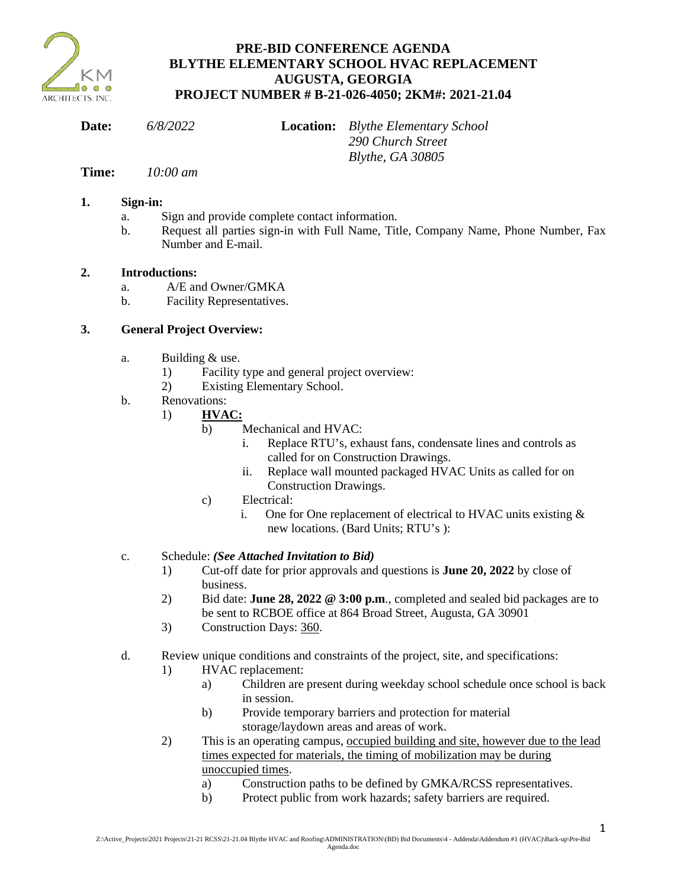

# **PRE-BID CONFERENCE AGENDA BLYTHE ELEMENTARY SCHOOL HVAC REPLACEMENT AUGUSTA, GEORGIA PROJECT NUMBER # B-21-026-4050; 2KM#: 2021-21.04**

| Date:        | 6/8/2022 | <b>Location:</b> Blythe Elementary School |  |
|--------------|----------|-------------------------------------------|--|
|              |          | 290 Church Street                         |  |
|              |          | Blythe, GA 30805                          |  |
| $\mathbf{r}$ | 10.00    |                                           |  |

# **Time:** *10:00 am*

# **1. Sign-in:**

- a. Sign and provide complete contact information.
- b. Request all parties sign-in with Full Name, Title, Company Name, Phone Number, Fax Number and E-mail.

# **2. Introductions:**

- a. A/E and Owner/GMKA
- b. Facility Representatives.

# **3. General Project Overview:**

- a. Building & use.
	- 1) Facility type and general project overview:
	- 2) Existing Elementary School.
- b. Renovations:
	- 1) **HVAC:**
		- b) Mechanical and HVAC:
			- i. Replace RTU's, exhaust fans, condensate lines and controls as called for on Construction Drawings.
			- ii. Replace wall mounted packaged HVAC Units as called for on Construction Drawings.
		- c) Electrical:
			- i. One for One replacement of electrical to HVAC units existing & new locations. (Bard Units; RTU's ):

# c. Schedule: *(See Attached Invitation to Bid)*

- 1) Cut-off date for prior approvals and questions is **June 20, 2022** by close of business.
- 2) Bid date: **June 28, 2022 @ 3:00 p.m**., completed and sealed bid packages are to be sent to RCBOE office at 864 Broad Street, Augusta, GA 30901
- 3) Construction Days: 360.
- d. Review unique conditions and constraints of the project, site, and specifications:
	- 1) HVAC replacement:
		- a) Children are present during weekday school schedule once school is back in session.
		- b) Provide temporary barriers and protection for material storage/laydown areas and areas of work.
	- 2) This is an operating campus, occupied building and site, however due to the lead times expected for materials, the timing of mobilization may be during unoccupied times.
		- a) Construction paths to be defined by GMKA/RCSS representatives.
		- b) Protect public from work hazards; safety barriers are required.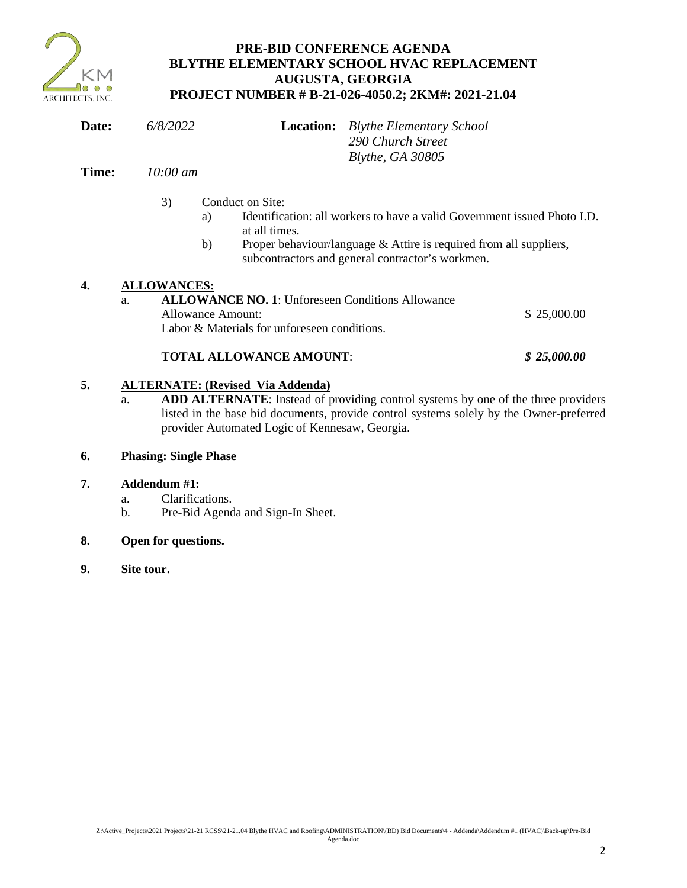

# **PRE-BID CONFERENCE AGENDA BLYTHE ELEMENTARY SCHOOL HVAC REPLACEMENT AUGUSTA, GEORGIA PROJECT NUMBER # B-21-026-4050.2; 2KM#: 2021-21.04**

| Date: | 6/8/2022            | <b>Location:</b> Blythe Elementary School |
|-------|---------------------|-------------------------------------------|
|       |                     | 290 Church Street                         |
|       |                     | Blythe, GA 30805                          |
| Time: | $10:00 \text{ } am$ |                                           |

- 3) Conduct on Site:
	- a) Identification: all workers to have a valid Government issued Photo I.D. at all times.
	- b) Proper behaviour/language & Attire is required from all suppliers, subcontractors and general contractor's workmen.

# **4. ALLOWANCES:**

a. **ALLOWANCE NO. 1**: Unforeseen Conditions Allowance Allowance Amount:  $\qquad$  \$ 25,000.00 Labor & Materials for unforeseen conditions.

# **TOTAL ALLOWANCE AMOUNT**: *\$ 25,000.00*

# **5. ALTERNATE: (Revised Via Addenda)**

a. **ADD ALTERNATE**: Instead of providing control systems by one of the three providers listed in the base bid documents, provide control systems solely by the Owner-preferred provider Automated Logic of Kennesaw, Georgia.

# **6. Phasing: Single Phase**

# **7. Addendum #1:**

- a. Clarifications.
- b. Pre-Bid Agenda and Sign-In Sheet.

# **8. Open for questions.**

**9. Site tour.**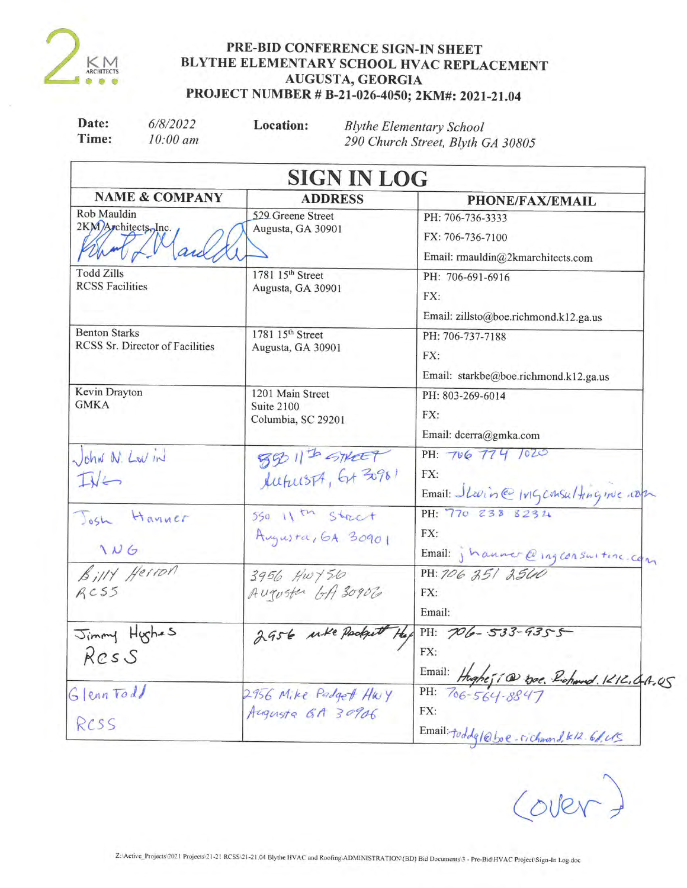

# PRE-BID CONFERENCE SIGN-IN SHEET BLYTHE ELEMENTARY SCHOOL HVAC REPLACEMENT AUGUSTA, GEORGIA PROJECT NUMBER # B-21-026-4050; 2KM#: 2021-21.04

| Date:<br>Time:                                          | 6/8/2022<br>$10:00$ am    | Location:                                            | <b>Blythe Elementary School</b><br>290 Church Street, Blyth GA 30805                    |
|---------------------------------------------------------|---------------------------|------------------------------------------------------|-----------------------------------------------------------------------------------------|
|                                                         |                           | <b>SIGN IN LOG</b>                                   |                                                                                         |
|                                                         | <b>NAME &amp; COMPANY</b> | <b>ADDRESS</b>                                       | <b>PHONE/FAX/EMAIL</b>                                                                  |
| Rob Mauldin<br>2KM)Architects, Inc.                     |                           | 529 Greene Street<br>Augusta, GA 30901               | PH: 706-736-3333<br>FX: 706-736-7100<br>Email: rmauldin@2kmarchitects.com               |
| <b>Todd Zills</b><br><b>RCSS Facilities</b>             |                           | 1781 15 <sup>th</sup> Street<br>Augusta, GA 30901    | PH: 706-691-6916<br>FX:<br>Email: zillsto@boe.richmond.k12.ga.us                        |
| <b>Benton Starks</b><br>RCSS Sr. Director of Facilities |                           | 1781 15 <sup>th</sup> Street<br>Augusta, GA 30901    | PH: 706-737-7188<br>FX:<br>Email: starkbe@boe.richmond.k12.ga.us                        |
| Kevin Drayton<br><b>GMKA</b>                            |                           | 1201 Main Street<br>Suite 2100<br>Columbia, SC 29201 | PH: 803-269-6014<br>FX:<br>Email: dcerra@gmka.com                                       |
| John N. Lov in<br>$I\sqrt{L}$                           |                           | 55 11th STREET                                       | PH: 706 774 1020<br>FX:<br>Email: Slavince Ivigconsulting nuc com                       |
| Josh Hanner<br>106                                      |                           | $550$ 11 th $Stact$<br>Augusta, GA 30901             | PH: 770 238 8234<br>FX:                                                                 |
| BillY Herron<br>AC55                                    |                           | 3956 Hwy56<br>Augusta GA 30906                       | Email: jhanner@ingconsuiting.com<br>FX:<br>Email:                                       |
| Jimmy Hyghes<br>Ress                                    |                           | 2956 wke Podget                                      | PH: $706 - 533 - 9355$<br>FX:                                                           |
| Glenntodd<br>RCSS                                       |                           | 2956 Mike Padgett Hwy<br>Augusta GA 30906            | Email: Hughesia to. Richard. 1212.04.05<br>FX:<br>Email: toddg/@boe. richmond. k12.6/US |

Cover?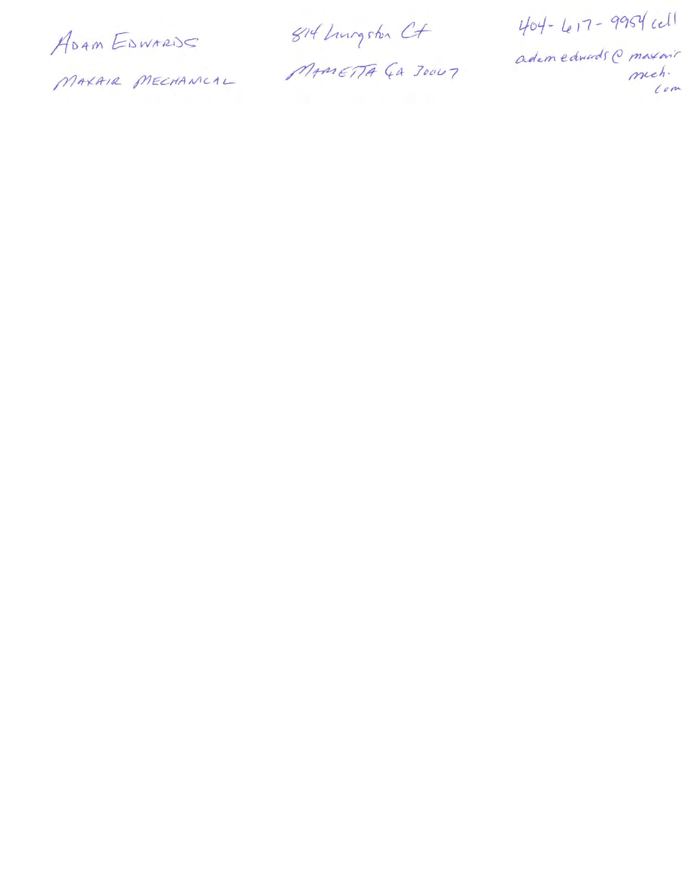ADAM EDWARDS

MAXAIR MECHANCAL

814 Lungston Ct MAMETTA GA JOULT

404-617-9954 cell

adem edwards @ maxarit mech.  $l$ om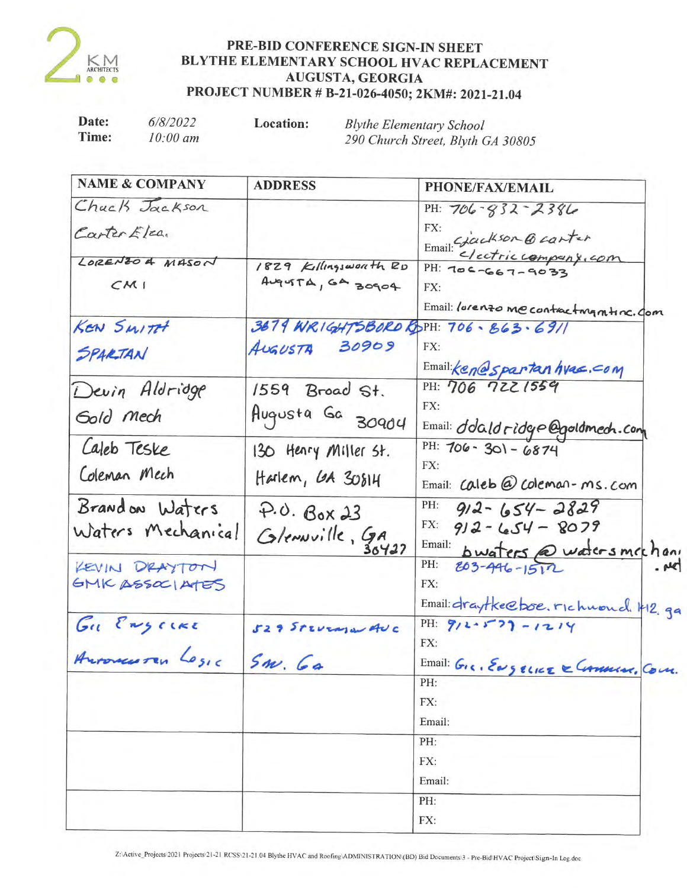

# PRE-BID CONFERENCE SIGN-IN SHEET BLYTHE ELEMENTARY SCHOOL HVAC REPLACEMENT AUGUSTA, GEORGIA PROJECT NUMBER # B-21-026-4050; 2KM#: 2021-21.04

| Date: | 6/8/2022            | Location: | <b>Blythe Elementary School</b>   |  |
|-------|---------------------|-----------|-----------------------------------|--|
| Time: | $10:00 \text{ }$ am |           | 290 Church Street, Blyth GA 30805 |  |

| <b>NAME &amp; COMPANY</b> | <b>ADDRESS</b>                      | <b>PHONE/FAX/EMAIL</b>                   |
|---------------------------|-------------------------------------|------------------------------------------|
| Chack Jackson             |                                     | PH: $706 - 832 - 2386$                   |
| Carter Elca.              |                                     | FX:                                      |
|                           |                                     | Email: Glackson @ canter                 |
| LORENZO 4 MASON           | 1829 Killingsworth RD               | $PH: 706 - 667 - 9033$                   |
| CMI                       | AugustA, GA 30904                   | FX:                                      |
|                           |                                     | Email: lorenzo me contracting mtinc. Com |
| KEN SWITH                 | 3679 WRIGHTSBORD RDPH: 706-863-6911 |                                          |
|                           | AUSUSTA 30909                       | FX:                                      |
| SPARTAN                   |                                     | Email: Ken espartan hvac. com            |
| Devin Aldridge            | $1559$ Broad St.                    | PH: 706 7221559                          |
|                           |                                     | FX:                                      |
| Gold Mech                 | Augusta Ga 30904                    | Email: dolald ridge @goldmech.com        |
| Laleb Teske               | 130 Henry Miller St.                | PH: 706 - 301 - 6874                     |
|                           |                                     | FX:                                      |
| Coleman Mech              | Harlem, GA 30814                    | Email: Caleb @ Coleman-ms.com            |
| Brandon Waters            | $P.0.$ Box 23                       | PH:<br>$912 - 654 - 2829$                |
| Waters Mechanical         |                                     | FX:<br>$912 - 654 - 8079$                |
|                           | Glenwille, GA                       | Email: bwaters @ watersmechan            |
| KEVIN DRAYTON             |                                     | PH:<br>$803 - 446 - 1512$<br>$. _{\mu}$  |
| GMK ASSOCIATES            |                                     | FX:                                      |
|                           |                                     | Email: draytke@boe.richwoud. H2.go       |
| Gu Engerre                | 529 STEVENSWAUC                     | PH: $912.5727 - 1214$                    |
|                           |                                     | FX:                                      |
| Antonicutes Losic         | $Sm.$ Ga                            | Email: Gig. ENGELLIE & Commun. Com.      |
|                           |                                     | PH:                                      |
|                           |                                     | FX:                                      |
|                           |                                     | Email:                                   |
|                           |                                     | PH:                                      |
|                           |                                     | FX:                                      |
|                           |                                     | Email:                                   |
|                           |                                     | PH:                                      |
|                           |                                     | FX:                                      |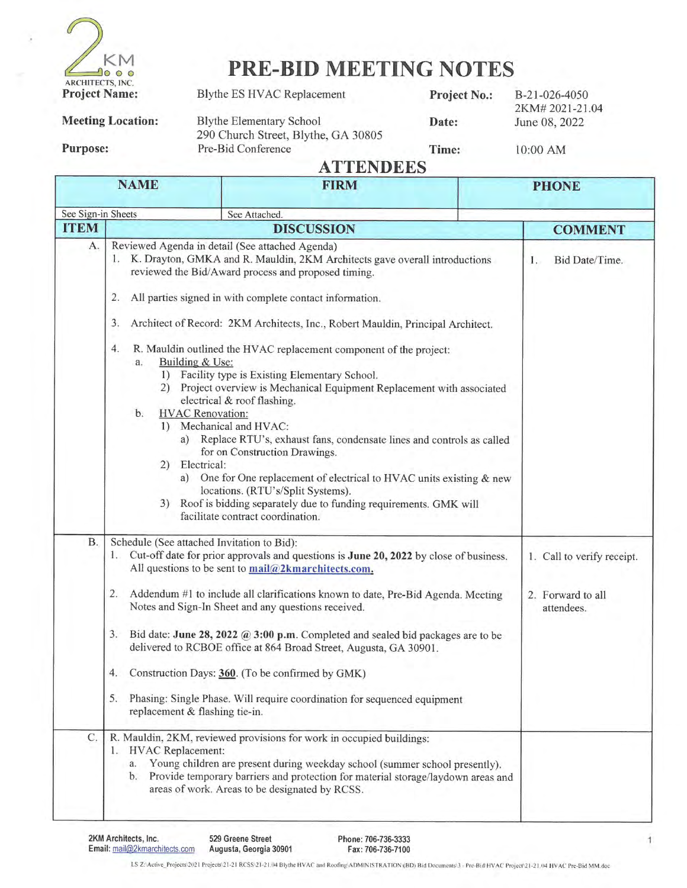

# **PRE-BID MEETING NOTES**

| <b>Meeting Location:</b> |
|--------------------------|
|                          |

**Blythe ES HVAC Replacement** 

**Blythe Elementary School** 290 Church Street, Blythe, GA 30805 Pre-Bid Conference

Date:

Project No.:

B-21-026-4050 2KM#2021-21.04 June 08, 2022

**Purpose:** 

Time:

10:00 AM

**ATTENDEES** 

| NAME                                                                                                                                                                                                                                                                                                                                                                                                                                                                                                                                                                                                                                                                                                                                                                                                                                                                                                                                                                                                                                                       |                                                                                                            | FIRM                                                                                                                                                                                                                                                                                                                                                                                                                                                                                                                                                                            | PHONE                                                         |
|------------------------------------------------------------------------------------------------------------------------------------------------------------------------------------------------------------------------------------------------------------------------------------------------------------------------------------------------------------------------------------------------------------------------------------------------------------------------------------------------------------------------------------------------------------------------------------------------------------------------------------------------------------------------------------------------------------------------------------------------------------------------------------------------------------------------------------------------------------------------------------------------------------------------------------------------------------------------------------------------------------------------------------------------------------|------------------------------------------------------------------------------------------------------------|---------------------------------------------------------------------------------------------------------------------------------------------------------------------------------------------------------------------------------------------------------------------------------------------------------------------------------------------------------------------------------------------------------------------------------------------------------------------------------------------------------------------------------------------------------------------------------|---------------------------------------------------------------|
| See Sign-in Sheets                                                                                                                                                                                                                                                                                                                                                                                                                                                                                                                                                                                                                                                                                                                                                                                                                                                                                                                                                                                                                                         |                                                                                                            | See Attached.                                                                                                                                                                                                                                                                                                                                                                                                                                                                                                                                                                   |                                                               |
| <b>ITEM</b>                                                                                                                                                                                                                                                                                                                                                                                                                                                                                                                                                                                                                                                                                                                                                                                                                                                                                                                                                                                                                                                |                                                                                                            | <b>DISCUSSION</b>                                                                                                                                                                                                                                                                                                                                                                                                                                                                                                                                                               | <b>COMMENT</b>                                                |
| A.<br>Reviewed Agenda in detail (See attached Agenda)<br>1. K. Drayton, GMKA and R. Mauldin, 2KM Architects gave overall introductions<br>reviewed the Bid/Award process and proposed timing.<br>2.<br>All parties signed in with complete contact information.<br>3.<br>Architect of Record: 2KM Architects, Inc., Robert Mauldin, Principal Architect.<br>4.<br>R. Mauldin outlined the HVAC replacement component of the project:<br>Building & Use:<br>a.<br>1) Facility type is Existing Elementary School.<br>2) Project overview is Mechanical Equipment Replacement with associated<br>electrical & roof flashing.<br><b>HVAC</b> Renovation:<br>b <sub>1</sub><br>1) Mechanical and HVAC:<br>a) Replace RTU's, exhaust fans, condensate lines and controls as called<br>for on Construction Drawings.<br>2) Electrical:<br>a) One for One replacement of electrical to HVAC units existing & new<br>locations. (RTU's/Split Systems).<br>3) Roof is bidding separately due to funding requirements. GMK will<br>facilitate contract coordination. |                                                                                                            | Bid Date/Time.<br>$1$ .                                                                                                                                                                                                                                                                                                                                                                                                                                                                                                                                                         |                                                               |
| <b>B.</b>                                                                                                                                                                                                                                                                                                                                                                                                                                                                                                                                                                                                                                                                                                                                                                                                                                                                                                                                                                                                                                                  | Schedule (See attached Invitation to Bid):<br>1.<br>2.<br>3.<br>4.<br>5.<br>replacement & flashing tie-in. | Cut-off date for prior approvals and questions is June 20, 2022 by close of business.<br>All questions to be sent to mail@2kmarchitects.com.<br>Addendum #1 to include all clarifications known to date, Pre-Bid Agenda. Meeting<br>Notes and Sign-In Sheet and any questions received.<br>Bid date: June 28, 2022 @ 3:00 p.m. Completed and sealed bid packages are to be<br>delivered to RCBOE office at 864 Broad Street, Augusta, GA 30901.<br>Construction Days: 360. (To be confirmed by GMK)<br>Phasing: Single Phase. Will require coordination for sequenced equipment | 1. Call to verify receipt.<br>2. Forward to all<br>attendees. |
| C.                                                                                                                                                                                                                                                                                                                                                                                                                                                                                                                                                                                                                                                                                                                                                                                                                                                                                                                                                                                                                                                         | 1. HVAC Replacement:<br>a.<br>b.                                                                           | R. Mauldin, 2KM, reviewed provisions for work in occupied buildings:<br>Young children are present during weekday school (summer school presently).<br>Provide temporary barriers and protection for material storage/laydown areas and<br>areas of work. Areas to be designated by RCSS.                                                                                                                                                                                                                                                                                       |                                                               |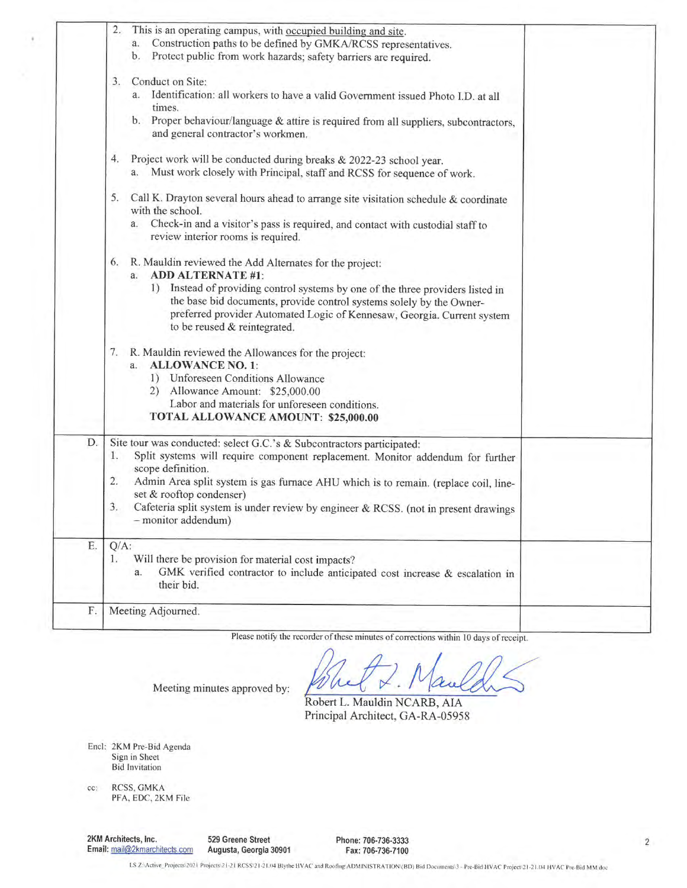|    | 2.<br>This is an operating campus, with occupied building and site.<br>Construction paths to be defined by GMKA/RCSS representatives.<br>a.<br>Protect public from work hazards; safety barriers are required.<br>b.                                                                                                                                                                                                          |  |
|----|-------------------------------------------------------------------------------------------------------------------------------------------------------------------------------------------------------------------------------------------------------------------------------------------------------------------------------------------------------------------------------------------------------------------------------|--|
|    | Conduct on Site:<br>3.<br>a. Identification: all workers to have a valid Government issued Photo I.D. at all<br>times.<br>b. Proper behaviour/language & attire is required from all suppliers, subcontractors,<br>and general contractor's workmen.                                                                                                                                                                          |  |
|    | Project work will be conducted during breaks & 2022-23 school year.<br>4.<br>a. Must work closely with Principal, staff and RCSS for sequence of work.                                                                                                                                                                                                                                                                        |  |
|    | 5.<br>Call K. Drayton several hours ahead to arrange site visitation schedule & coordinate<br>with the school.<br>a. Check-in and a visitor's pass is required, and contact with custodial staff to<br>review interior rooms is required.                                                                                                                                                                                     |  |
|    | R. Mauldin reviewed the Add Alternates for the project:<br>6.<br><b>ADD ALTERNATE #1:</b><br>a.<br>Instead of providing control systems by one of the three providers listed in<br>1)<br>the base bid documents, provide control systems solely by the Owner-<br>preferred provider Automated Logic of Kennesaw, Georgia. Current system<br>to be reused & reintegrated.                                                      |  |
|    | R. Mauldin reviewed the Allowances for the project:<br>7.<br><b>ALLOWANCE NO. 1:</b><br>a.<br>1) Unforeseen Conditions Allowance<br>2) Allowance Amount: \$25,000.00<br>Labor and materials for unforeseen conditions.<br>TOTAL ALLOWANCE AMOUNT: \$25,000.00                                                                                                                                                                 |  |
| D. | Site tour was conducted: select G.C.'s & Subcontractors participated:<br>1.<br>Split systems will require component replacement. Monitor addendum for further<br>scope definition.<br>2.<br>Admin Area split system is gas furnace AHU which is to remain. (replace coil, line-<br>set & rooftop condenser)<br>3.<br>Cafeteria split system is under review by engineer & RCSS. (not in present drawings<br>monitor addendum) |  |
| Ε. | $Q/A$ :<br>Will there be provision for material cost impacts?<br>1.<br>GMK verified contractor to include anticipated cost increase & escalation in<br>a.<br>their bid.                                                                                                                                                                                                                                                       |  |
| F. | Meeting Adjourned.                                                                                                                                                                                                                                                                                                                                                                                                            |  |
|    |                                                                                                                                                                                                                                                                                                                                                                                                                               |  |

Please notify the recorder of these minutes of corrections within 10 days of receipt.

Robert L. Mauldin NCARB, AIA Principal Architect, GA-RA-05958

Encl: 2KM Pre-Bid Agenda<br>Sign in Sheet<br>Bid Invitation

RCSS, GMKA  $cc$ : PFA, EDC, 2KM File

2KM Architects, Inc. Email: mail@2kmarchitects.com 529 Greene Street Augusta, Georgia 30901

Meeting minutes approved by:

Phone: 706-736-3333 Fax: 706-736-7100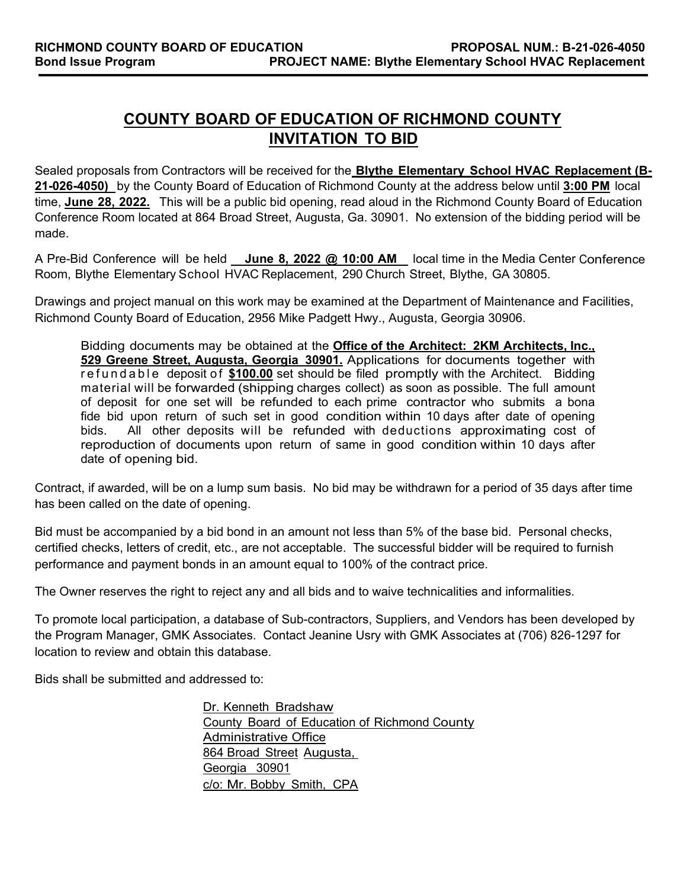# **COUNTY BOARD OF EDUCATION OF RICHMOND COUNTY INVITATION TO BID**

Sealed proposals from Contractors will be received for the **Blythe Elementary School HVAC Replacement (B-21-026-4050)** by the County Board of Education of Richmond County at the address below until **3:00 PM** local time, **June 28, 2022.** This will be a public bid opening, read aloud in the Richmond County Board of Education Conference Room located at 864 Broad Street, Augusta, Ga. 30901. No extension of the bidding period will be made.

A Pre-Bid Conference will be held June 8, 2022 @ 10:00 AM local time in the Media Center Conference Room, Blythe Elementary School HVAC Replacement, 290 Church Street, Blythe, GA 30805.

Drawings and project manual on this work may be examined at the Department of Maintenance and Facilities, Richmond County Board of Education, 2956 Mike Padgett Hwy., Augusta, Georgia 30906.

Bidding documents may be obtained at the **Office of the Architect: 2KM Architects, Inc., 529 Greene Street, Augusta, Georgia 30901.** Applications for documents together with refundable deposit of **\$100.00** set should be filed promptly with the Architect. Bidding material will be forwarded (shipping charges collect) as soon as possible. The full amount of deposit for one set will be refunded to each prime contractor who submits a bona fide bid upon return of such set in good condition within 10 days after date of opening bids. All other deposits will be refunded with deductions approximating cost of reproduction of documents upon return of same in good condition within 10 days after date of opening bid.

Contract, if awarded, will be on a lump sum basis. No bid may be withdrawn for a period of 35 days after time has been called on the date of opening.

Bid must be accompanied by a bid bond in an amount not less than 5% of the base bid. Personal checks, certified checks, letters of credit, etc., are not acceptable. The successful bidder will be required to furnish performance and payment bonds in an amount equal to 100% of the contract price.

The Owner reserves the right to reject any and all bids and to waive technicalities and informalities.

To promote local participation, a database of Sub-contractors, Suppliers, and Vendors has been developed by the Program Manager, GMK Associates. Contact Jeanine Usry with GMK Associates at (706) 826-1297 for location to review and obtain this database.

Bids shall be submitted and addressed to:

Dr. Kenneth Bradshaw County Board of Education of Richmond County Administrative Office 864 Broad Street Augusta, Georgia 30901 c/o: Mr. Bobby Smith, CPA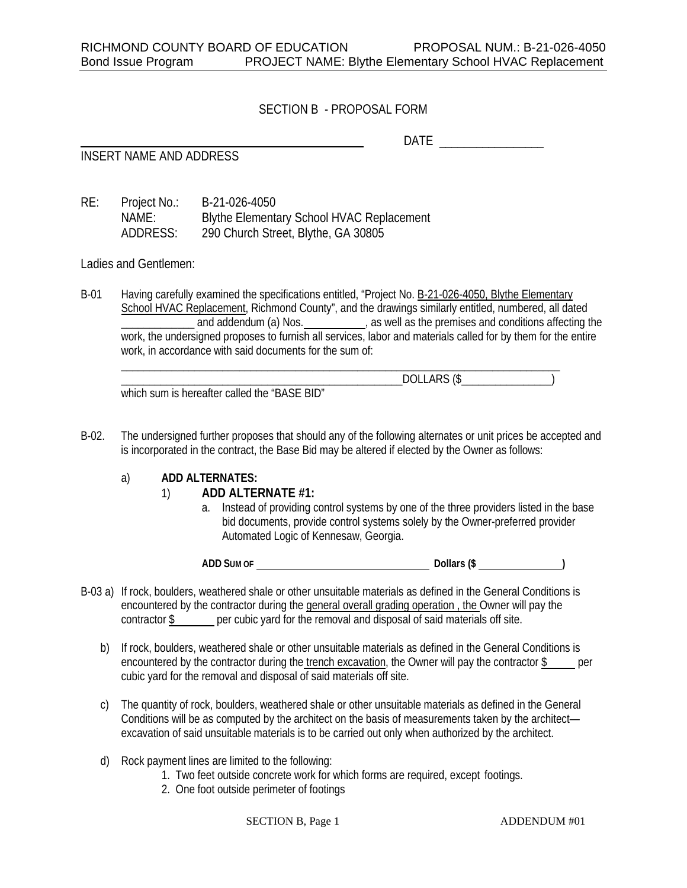# SECTION B - PROPOSAL FORM

DATE  $\overline{\phantom{a}}$ 

INSERT NAME AND ADDRESS

RE: Project No.: B-21-026-4050 NAME: Blythe Elementary School HVAC Replacement ADDRESS: 290 Church Street, Blythe, GA 30805

Ladies and Gentlemen:

B-01 Having carefully examined the specifications entitled, "Project No. B-21-026-4050, Blythe Elementary School HVAC Replacement, Richmond County", and the drawings similarly entitled, numbered, all dated \_\_\_\_\_\_\_\_\_\_\_\_\_\_ and addendum (a) Nos. \_\_\_\_\_\_\_\_\_\_\_, as well as the premises and conditions affecting the work, the undersigned proposes to furnish all services, labor and materials called for by them for the entire work, in accordance with said documents for the sum of:

\_\_\_\_\_\_\_\_\_\_\_\_\_\_\_\_\_\_\_\_\_\_\_\_\_\_\_\_\_\_\_\_\_\_\_\_\_\_\_\_\_\_\_\_\_\_\_\_\_\_\_\_\_\_\_\_\_\_\_\_\_\_\_\_\_\_\_\_\_\_\_\_\_\_\_\_\_\_

| which sum is hereafter called the "BASE BID" |  |
|----------------------------------------------|--|

B-02. The undersigned further proposes that should any of the following alternates or unit prices be accepted and is incorporated in the contract, the Base Bid may be altered if elected by the Owner as follows:

# a) **ADD ALTERNATES:**

# 1) **ADD ALTERNATE #1:**

a. Instead of providing control systems by one of the three providers listed in the base bid documents, provide control systems solely by the Owner-preferred provider Automated Logic of Kennesaw, Georgia.

**ADD SUM OF Dollars (\$ )** 

- B-03 a) If rock, boulders, weathered shale or other unsuitable materials as defined in the General Conditions is encountered by the contractor during the general overall grading operation , the Owner will pay the contractor \$ per cubic yard for the removal and disposal of said materials off site.
	- b) If rock, boulders, weathered shale or other unsuitable materials as defined in the General Conditions is encountered by the contractor during the trench excavation, the Owner will pay the contractor \$ per cubic yard for the removal and disposal of said materials off site.
	- c) The quantity of rock, boulders, weathered shale or other unsuitable materials as defined in the General Conditions will be as computed by the architect on the basis of measurements taken by the architect excavation of said unsuitable materials is to be carried out only when authorized by the architect.
	- d) Rock payment lines are limited to the following:
		- 1. Two feet outside concrete work for which forms are required, except footings.
		- 2. One foot outside perimeter of footings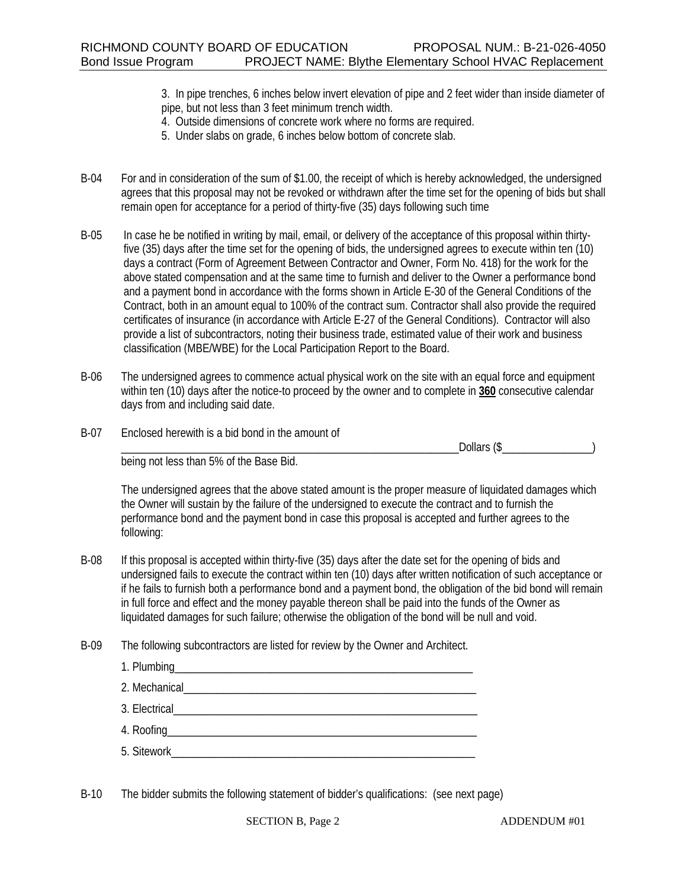3. In pipe trenches, 6 inches below invert elevation of pipe and 2 feet wider than inside diameter of pipe, but not less than 3 feet minimum trench width.

- 4. Outside dimensions of concrete work where no forms are required.
- 5. Under slabs on grade, 6 inches below bottom of concrete slab.
- B-04 For and in consideration of the sum of \$1.00, the receipt of which is hereby acknowledged, the undersigned agrees that this proposal may not be revoked or withdrawn after the time set for the opening of bids but shall remain open for acceptance for a period of thirty-five (35) days following such time
- B-05 In case he be notified in writing by mail, email, or delivery of the acceptance of this proposal within thirtyfive (35) days after the time set for the opening of bids, the undersigned agrees to execute within ten (10) days a contract (Form of Agreement Between Contractor and Owner, Form No. 418) for the work for the above stated compensation and at the same time to furnish and deliver to the Owner a performance bond and a payment bond in accordance with the forms shown in Article E-30 of the General Conditions of the Contract, both in an amount equal to 100% of the contract sum. Contractor shall also provide the required certificates of insurance (in accordance with Article E-27 of the General Conditions). Contractor will also provide a list of subcontractors, noting their business trade, estimated value of their work and business classification (MBE/WBE) for the Local Participation Report to the Board.
- B-06 The undersigned agrees to commence actual physical work on the site with an equal force and equipment within ten (10) days after the notice-to proceed by the owner and to complete in **360** consecutive calendar days from and including said date.
- B-07 Enclosed herewith is a bid bond in the amount of

 $\Delta$  Dollars (\$

being not less than 5% of the Base Bid.

The undersigned agrees that the above stated amount is the proper measure of liquidated damages which the Owner will sustain by the failure of the undersigned to execute the contract and to furnish the performance bond and the payment bond in case this proposal is accepted and further agrees to the following:

- B-08 If this proposal is accepted within thirty-five (35) days after the date set for the opening of bids and undersigned fails to execute the contract within ten (10) days after written notification of such acceptance or if he fails to furnish both a performance bond and a payment bond, the obligation of the bid bond will remain in full force and effect and the money payable thereon shall be paid into the funds of the Owner as liquidated damages for such failure; otherwise the obligation of the bond will be null and void.
- B-09 The following subcontractors are listed for review by the Owner and Architect.

B-10 The bidder submits the following statement of bidder's qualifications: (see next page)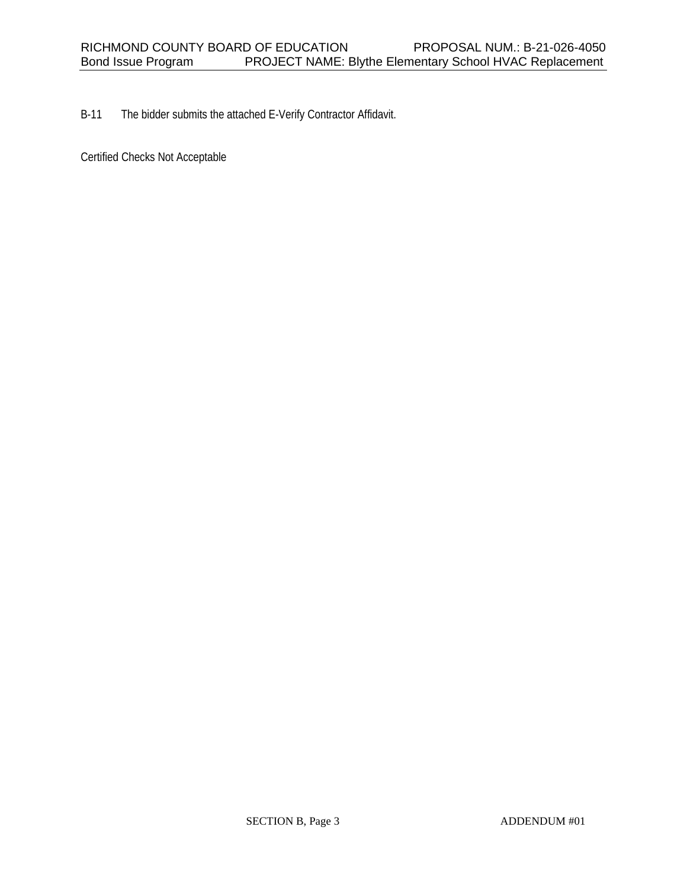B-11 The bidder submits the attached E-Verify Contractor Affidavit.

Certified Checks Not Acceptable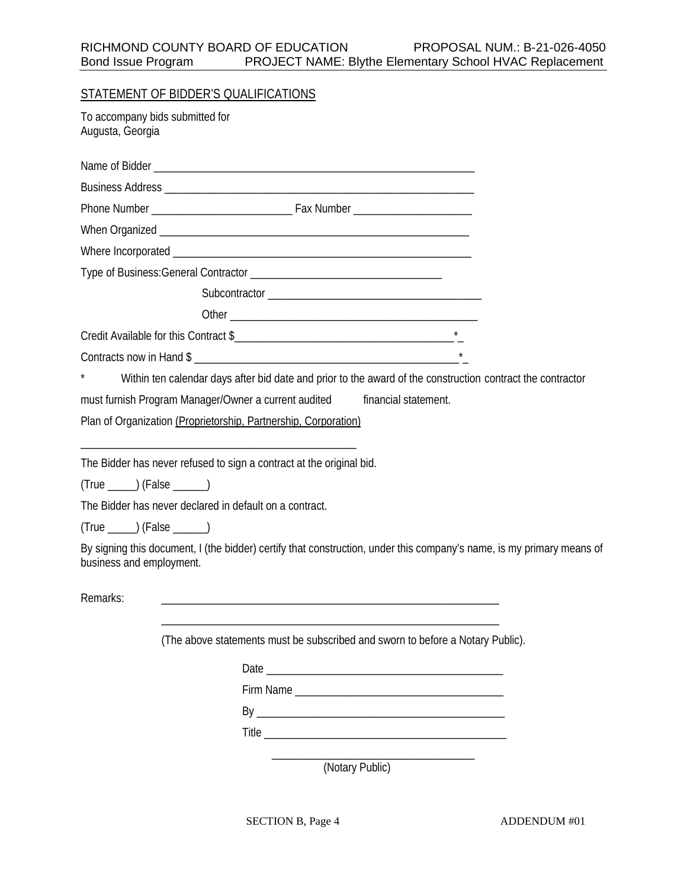|                                                     | STATEMENT OF BIDDER'S QUALIFICATIONS                                                                                  |  |
|-----------------------------------------------------|-----------------------------------------------------------------------------------------------------------------------|--|
| To accompany bids submitted for<br>Augusta, Georgia |                                                                                                                       |  |
|                                                     |                                                                                                                       |  |
|                                                     |                                                                                                                       |  |
|                                                     |                                                                                                                       |  |
|                                                     |                                                                                                                       |  |
|                                                     |                                                                                                                       |  |
|                                                     |                                                                                                                       |  |
|                                                     |                                                                                                                       |  |
|                                                     |                                                                                                                       |  |
|                                                     |                                                                                                                       |  |
|                                                     | Contracts now in Hand \$                                                                                              |  |
|                                                     | Within ten calendar days after bid date and prior to the award of the construction contract the contractor            |  |
|                                                     | must furnish Program Manager/Owner a current audited<br>financial statement.                                          |  |
|                                                     | Plan of Organization (Proprietorship, Partnership, Corporation)                                                       |  |
|                                                     | The Bidder has never refused to sign a contract at the original bid.                                                  |  |
| $(True \_ )$ (False $\rule{1em}{0.15mm}$ )          |                                                                                                                       |  |
|                                                     | The Bidder has never declared in default on a contract.                                                               |  |
| $(True \_ )$ (False $\rule{1em}{0.15mm}$ )          |                                                                                                                       |  |
| business and employment.                            | By signing this document, I (the bidder) certify that construction, under this company's name, is my primary means of |  |
| Remarks:                                            |                                                                                                                       |  |
|                                                     |                                                                                                                       |  |
|                                                     | (The above statements must be subscribed and sworn to before a Notary Public).                                        |  |
|                                                     |                                                                                                                       |  |
|                                                     |                                                                                                                       |  |
|                                                     |                                                                                                                       |  |
|                                                     |                                                                                                                       |  |

 \_\_\_\_\_\_\_\_\_\_\_\_\_\_\_\_\_\_\_\_\_\_\_\_\_\_\_\_\_\_\_\_\_\_\_\_ (Notary Public)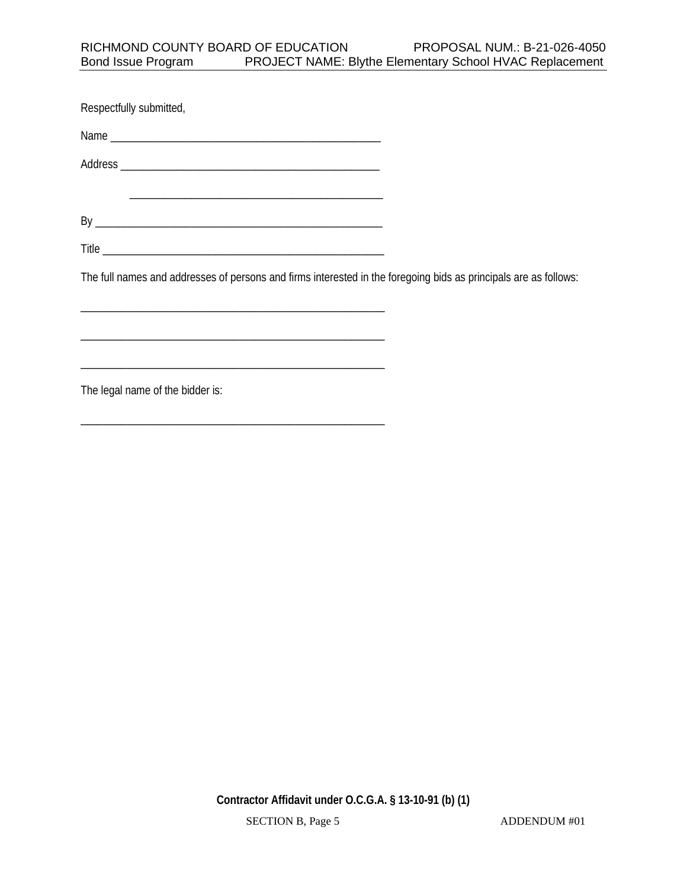| Respectfully submitted,                                                                                              |  |
|----------------------------------------------------------------------------------------------------------------------|--|
|                                                                                                                      |  |
|                                                                                                                      |  |
|                                                                                                                      |  |
|                                                                                                                      |  |
|                                                                                                                      |  |
| The full names and addresses of persons and firms interested in the foregoing bids as principals are as follows:     |  |
|                                                                                                                      |  |
|                                                                                                                      |  |
| <u> 1989 - Johann John Stein, mars ar yw y cynnwys y cynnwys y cynnwys y cynnwys y cynnwys y cynnwys y cynnwys y</u> |  |
| The lead name of the hidder is.                                                                                      |  |

The legal name of the bidder is:

\_\_\_\_\_\_\_\_\_\_\_\_\_\_\_\_\_\_\_\_\_\_\_\_\_\_\_\_\_\_\_\_\_\_\_\_\_\_\_\_\_\_\_\_\_\_\_\_\_\_\_\_\_\_

**Contractor Affidavit under O.C.G.A. § 13-10-91 (b) (1)**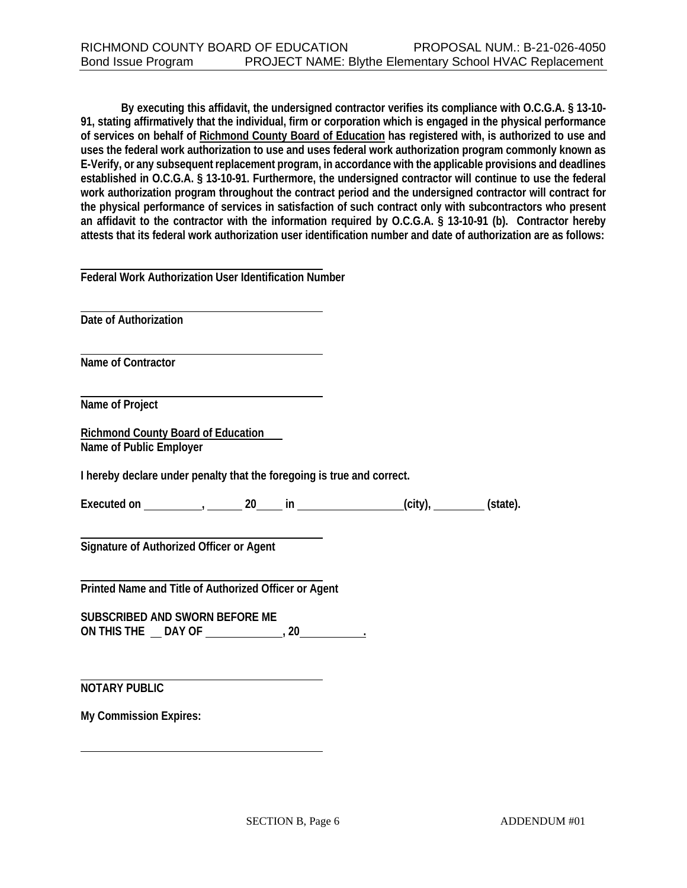**By executing this affidavit, the undersigned contractor verifies its compliance with O.C.G.A. § 13-10- 91, stating affirmatively that the individual, firm or corporation which is engaged in the physical performance of services on behalf of Richmond County Board of Education has registered with, is authorized to use and uses the federal work authorization to use and uses federal work authorization program commonly known as E-Verify, or any subsequent replacement program, in accordance with the applicable provisions and deadlines established in O.C.G.A. § 13-10-91. Furthermore, the undersigned contractor will continue to use the federal work authorization program throughout the contract period and the undersigned contractor will contract for the physical performance of services in satisfaction of such contract only with subcontractors who present an affidavit to the contractor with the information required by O.C.G.A. § 13-10-91 (b). Contractor hereby attests that its federal work authorization user identification number and date of authorization are as follows:**

 **Date of Authorization**

 **Name of Contractor**

 **Name of Project**

**Richmond County Board of Education Name of Public Employer**

**I hereby declare under penalty that the foregoing is true and correct.**

**Executed on , 20 in (city), (state).**

 **Signature of Authorized Officer or Agent**

 **Printed Name and Title of Authorized Officer or Agent**

**SUBSCRIBED AND SWORN BEFORE ME ON THIS THE DAY OF , 20 .** 

 **NOTARY PUBLIC**

**My Commission Expires:**